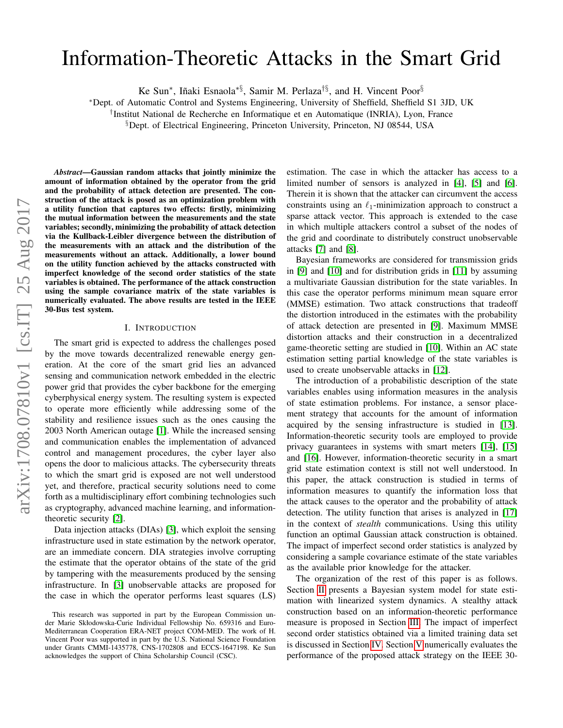# Information-Theoretic Attacks in the Smart Grid

Ke Sun<sup>∗</sup>, Iñaki Esnaola<sup>\*§</sup>, Samir M. Perlaza<sup>†§</sup>, and H. Vincent Poor<sup>§</sup>

<sup>∗</sup>Dept. of Automatic Control and Systems Engineering, University of Sheffield, Sheffield S1 3JD, UK

† Institut National de Recherche en Informatique et en Automatique (INRIA), Lyon, France

§Dept. of Electrical Engineering, Princeton University, Princeton, NJ 08544, USA

*Abstract*—Gaussian random attacks that jointly minimize the amount of information obtained by the operator from the grid and the probability of attack detection are presented. The construction of the attack is posed as an optimization problem with a utility function that captures two effects: firstly, minimizing the mutual information between the measurements and the state variables; secondly, minimizing the probability of attack detection via the Kullback-Leibler divergence between the distribution of the measurements with an attack and the distribution of the measurements without an attack. Additionally, a lower bound on the utility function achieved by the attacks constructed with imperfect knowledge of the second order statistics of the state variables is obtained. The performance of the attack construction using the sample covariance matrix of the state variables is numerically evaluated. The above results are tested in the IEEE 30-Bus test system.

# I. INTRODUCTION

The smart grid is expected to address the challenges posed by the move towards decentralized renewable energy generation. At the core of the smart grid lies an advanced sensing and communication network embedded in the electric power grid that provides the cyber backbone for the emerging cyberphysical energy system. The resulting system is expected to operate more efficiently while addressing some of the stability and resilience issues such as the ones causing the 2003 North American outage [\[1\]](#page-5-0). While the increased sensing and communication enables the implementation of advanced control and management procedures, the cyber layer also opens the door to malicious attacks. The cybersecurity threats to which the smart grid is exposed are not well understood yet, and therefore, practical security solutions need to come forth as a multidisciplinary effort combining technologies such as cryptography, advanced machine learning, and informationtheoretic security [\[2\]](#page-5-1).

Data injection attacks (DIAs) [\[3\]](#page-5-2), which exploit the sensing infrastructure used in state estimation by the network operator, are an immediate concern. DIA strategies involve corrupting the estimate that the operator obtains of the state of the grid by tampering with the measurements produced by the sensing infrastructure. In [\[3\]](#page-5-2) unobservable attacks are proposed for the case in which the operator performs least squares (LS) estimation. The case in which the attacker has access to a limited number of sensors is analyzed in [\[4\]](#page-5-3), [\[5\]](#page-5-4) and [\[6\]](#page-5-5). Therein it is shown that the attacker can circumvent the access constraints using an  $\ell_1$ -minimization approach to construct a sparse attack vector. This approach is extended to the case in which multiple attackers control a subset of the nodes of the grid and coordinate to distributely construct unobservable attacks [\[7\]](#page-5-6) and [\[8\]](#page-5-7).

Bayesian frameworks are considered for transmission grids in [\[9\]](#page-5-8) and [\[10\]](#page-5-9) and for distribution grids in [\[11\]](#page-5-10) by assuming a multivariate Gaussian distribution for the state variables. In this case the operator performs minimum mean square error (MMSE) estimation. Two attack constructions that tradeoff the distortion introduced in the estimates with the probability of attack detection are presented in [\[9\]](#page-5-8). Maximum MMSE distortion attacks and their construction in a decentralized game-theoretic setting are studied in [\[10\]](#page-5-9). Within an AC state estimation setting partial knowledge of the state variables is used to create unobservable attacks in [\[12\]](#page-5-11).

The introduction of a probabilistic description of the state variables enables using information measures in the analysis of state estimation problems. For instance, a sensor placement strategy that accounts for the amount of information acquired by the sensing infrastructure is studied in [\[13\]](#page-5-12). Information-theoretic security tools are employed to provide privacy guarantees in systems with smart meters [\[14\]](#page-5-13), [\[15\]](#page-5-14) and [\[16\]](#page-5-15). However, information-theoretic security in a smart grid state estimation context is still not well understood. In this paper, the attack construction is studied in terms of information measures to quantify the information loss that the attack causes to the operator and the probability of attack detection. The utility function that arises is analyzed in [\[17\]](#page-5-16) in the context of *stealth* communications. Using this utility function an optimal Gaussian attack construction is obtained. The impact of imperfect second order statistics is analyzed by considering a sample covariance estimate of the state variables as the available prior knowledge for the attacker.

The organization of the rest of this paper is as follows. Section [II](#page-1-0) presents a Bayesian system model for state estimation with linearized system dynamics. A stealthy attack construction based on an information-theoretic performance measure is proposed in Section [III.](#page-2-0) The impact of imperfect second order statistics obtained via a limited training data set is discussed in Section [IV.](#page-2-1) Section [V](#page-3-0) numerically evaluates the performance of the proposed attack strategy on the IEEE 30-

This research was supported in part by the European Commission under Marie Skłodowska-Curie Individual Fellowship No. 659316 and Euro-Mediterranean Cooperation ERA-NET project COM-MED. The work of H. Vincent Poor was supported in part by the U.S. National Science Foundation under Grants CMMI-1435778, CNS-1702808 and ECCS-1647198. Ke Sun acknowledges the support of China Scholarship Council (CSC).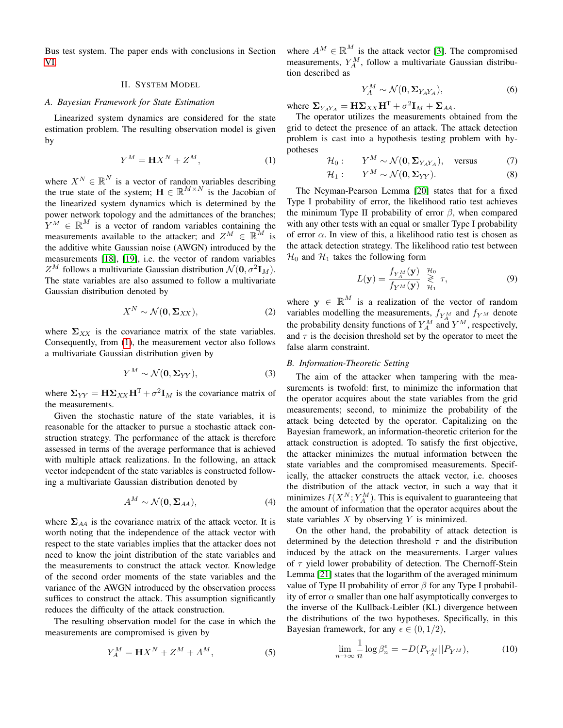Bus test system. The paper ends with conclusions in Section [VI.](#page-5-17)

# II. SYSTEM MODEL

## <span id="page-1-0"></span>*A. Bayesian Framework for State Estimation*

Linearized system dynamics are considered for the state estimation problem. The resulting observation model is given by

$$
Y^M = \mathbf{H} X^N + Z^M,\tag{1}
$$

where  $X^N \in \mathbb{R}^N$  is a vector of random variables describing the true state of the system;  $\mathbf{H} \in \mathbb{R}^{M \times N}$  is the Jacobian of the linearized system dynamics which is determined by the power network topology and the admittances of the branches;  $Y^M \in \mathbb{R}^M$  is a vector of random variables containing the measurements available to the attacker; and  $Z^M \in \mathbb{R}^M$  is the additive white Gaussian noise (AWGN) introduced by the measurements [\[18\]](#page-5-18), [\[19\]](#page-5-19), i.e. the vector of random variables  $Z^M$  follows a multivariate Gaussian distribution  $\mathcal{N}(\mathbf{0}, \sigma^2 \mathbf{I}_M)$ . The state variables are also assumed to follow a multivariate Gaussian distribution denoted by

$$
X^N \sim \mathcal{N}(\mathbf{0}, \Sigma_{XX}),\tag{2}
$$

where  $\Sigma_{XX}$  is the covariance matrix of the state variables. Consequently, from [\(1\)](#page-1-1), the measurement vector also follows a multivariate Gaussian distribution given by

$$
Y^M \sim \mathcal{N}(\mathbf{0}, \Sigma_{YY}),\tag{3}
$$

where  $\Sigma_{YY} = \mathbf{H} \Sigma_{XX} \mathbf{H}^{\mathrm{T}} + \sigma^2 \mathbf{I}_M$  is the covariance matrix of the measurements.

Given the stochastic nature of the state variables, it is reasonable for the attacker to pursue a stochastic attack construction strategy. The performance of the attack is therefore assessed in terms of the average performance that is achieved with multiple attack realizations. In the following, an attack vector independent of the state variables is constructed following a multivariate Gaussian distribution denoted by

$$
A^M \sim \mathcal{N}(\mathbf{0}, \Sigma_{AA}), \tag{4}
$$

where  $\Sigma_{AA}$  is the covariance matrix of the attack vector. It is worth noting that the independence of the attack vector with respect to the state variables implies that the attacker does not need to know the joint distribution of the state variables and the measurements to construct the attack vector. Knowledge of the second order moments of the state variables and the variance of the AWGN introduced by the observation process suffices to construct the attack. This assumption significantly reduces the difficulty of the attack construction.

The resulting observation model for the case in which the measurements are compromised is given by

$$
Y_A^M = \mathbf{H}X^N + Z^M + A^M,\tag{5}
$$

where  $A^M \in \mathbb{R}^M$  is the attack vector [\[3\]](#page-5-2). The compromised measurements,  $Y_A^M$ , follow a multivariate Gaussian distribution described as

$$
Y_A^M \sim \mathcal{N}(\mathbf{0}, \Sigma_{Y_A Y_A}),\tag{6}
$$

where  $\Sigma_{Y_A Y_A} = \mathbf{H} \Sigma_{XX} \mathbf{H}^{\mathrm{T}} + \sigma^2 \mathbf{I}_M + \Sigma_{AA}$ .

<span id="page-1-1"></span>The operator utilizes the measurements obtained from the grid to detect the presence of an attack. The attack detection problem is cast into a hypothesis testing problem with hypotheses

$$
\mathcal{H}_0: \qquad Y^M \sim \mathcal{N}(\mathbf{0}, \mathbf{\Sigma}_{Y_A Y_A}), \quad \text{versus} \tag{7}
$$

$$
\mathcal{H}_1: \qquad Y^M \sim \mathcal{N}(\mathbf{0}, \Sigma_{YY}).\tag{8}
$$

The Neyman-Pearson Lemma [\[20\]](#page-5-20) states that for a fixed Type I probability of error, the likelihood ratio test achieves the minimum Type II probability of error  $\beta$ , when compared with any other tests with an equal or smaller Type I probability of error  $\alpha$ . In view of this, a likelihood ratio test is chosen as the attack detection strategy. The likelihood ratio test between  $\mathcal{H}_0$  and  $\mathcal{H}_1$  takes the following form

$$
L(\mathbf{y}) = \frac{f_{Y_A^M}(\mathbf{y})}{f_{Y^M}(\mathbf{y})} \mathop{\gtrless}\limits_{\mathcal{H}_1}^{\mathcal{H}_0} \tau,
$$
 (9)

where  $y \in \mathbb{R}^M$  is a realization of the vector of random variables modelling the measurements,  $f_{Y_A^M}$  and  $f_{Y^M}$  denote the probability density functions of  $Y_A^M$  and  $Y^M$ , respectively, and  $\tau$  is the decision threshold set by the operator to meet the false alarm constraint.

### *B. Information-Theoretic Setting*

The aim of the attacker when tampering with the measurements is twofold: first, to minimize the information that the operator acquires about the state variables from the grid measurements; second, to minimize the probability of the attack being detected by the operator. Capitalizing on the Bayesian framework, an information-theoretic criterion for the attack construction is adopted. To satisfy the first objective, the attacker minimizes the mutual information between the state variables and the compromised measurements. Specifically, the attacker constructs the attack vector, i.e. chooses the distribution of the attack vector, in such a way that it minimizes  $I(X^N; Y^M_A)$ . This is equivalent to guaranteeing that the amount of information that the operator acquires about the state variables  $X$  by observing  $Y$  is minimized.

On the other hand, the probability of attack detection is determined by the detection threshold  $\tau$  and the distribution induced by the attack on the measurements. Larger values of  $\tau$  yield lower probability of detection. The Chernoff-Stein Lemma [\[21\]](#page-5-21) states that the logarithm of the averaged minimum value of Type II probability of error  $\beta$  for any Type I probability of error  $\alpha$  smaller than one half asymptotically converges to the inverse of the Kullback-Leibler (KL) divergence between the distributions of the two hypotheses. Specifically, in this Bayesian framework, for any  $\epsilon \in (0, 1/2)$ ,

$$
\lim_{n \to \infty} \frac{1}{n} \log \beta_n^{\epsilon} = -D(P_{Y_A^M} || P_{Y^M}), \tag{10}
$$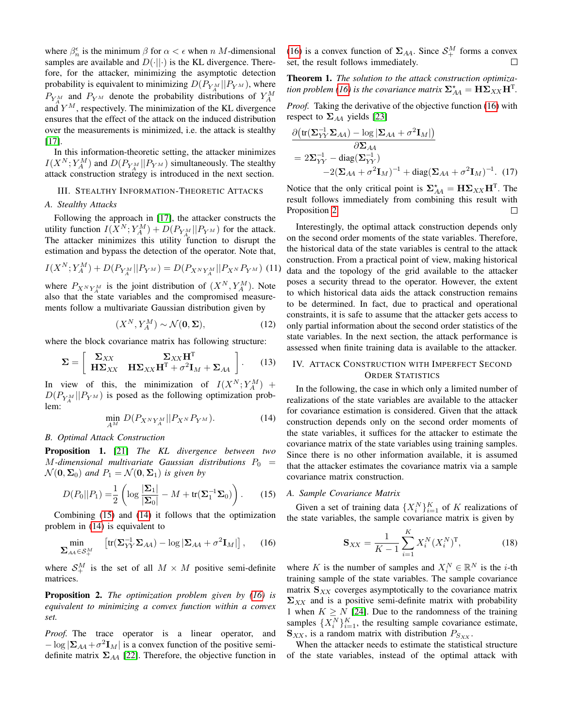where  $\beta_n^{\epsilon}$  is the minimum  $\beta$  for  $\alpha < \epsilon$  when n M-dimensional samples are available and  $D(\cdot||\cdot)$  is the KL divergence. Therefore, for the attacker, minimizing the asymptotic detection probability is equivalent to minimizing  $D(P_{Y_A^M}||P_{Y^M})$ , where  $P_{Y_A^M}$  and  $P_{Y_M}$  denote the probability distributions of  $Y_A^M$ and  $Y^M$ , respectively. The minimization of the KL divergence ensures that the effect of the attack on the induced distribution over the measurements is minimized, i.e. the attack is stealthy [\[17\]](#page-5-16).

In this information-theoretic setting, the attacker minimizes  $I(X^N; Y_A^M)$  and  $D(P_{Y_A^M} || P_{Y^M})$  simultaneously. The stealthy attack construction strategy is introduced in the next section.

## <span id="page-2-0"></span>III. STEALTHY INFORMATION-THEORETIC ATTACKS

# *A. Stealthy Attacks*

Following the approach in [\[17\]](#page-5-16), the attacker constructs the utility function  $I(X^N; Y^M_A) + D(P_{Y^M_A}||P_{Y^M})$  for the attack. The attacker minimizes this utility function to disrupt the estimation and bypass the detection of the operator. Note that,

$$
I(X^{N}; Y^{M}_{A}) + D(P_{Y^{M}_{A}} || P_{Y^{M}}) = D(P_{X^{N}Y^{M}_{A}} || P_{X^{N}} P_{Y^{M}})
$$
(11)

where  $P_{X^N Y_A^M}$  is the joint distribution of  $(X^N, Y_A^M)$ . Note also that the state variables and the compromised measurements follow a multivariate Gaussian distribution given by

$$
(X^N, Y_A^M) \sim \mathcal{N}(\mathbf{0}, \Sigma),\tag{12}
$$

where the block covariance matrix has following structure:

$$
\Sigma = \left[ \begin{array}{cc} \Sigma_{XX} & \Sigma_{XX} \mathbf{H}^{\mathrm{T}} \\ \mathbf{H} \Sigma_{XX} & \mathbf{H} \Sigma_{XX} \mathbf{H}^{\mathrm{T}} + \sigma^2 \mathbf{I}_M + \Sigma_{AA} \end{array} \right]. \tag{13}
$$

In view of this, the minimization of  $I(X^N; Y^M_A)$  +  $D(P_{Y_A^M}||P_{Y^M})$  is posed as the following optimization problem:

$$
\min_{A^M} D(P_{X^N Y_A^M} || P_{X^N} P_{Y^M}).
$$
\n(14)

#### *B. Optimal Attack Construction*

Proposition 1. [\[21\]](#page-5-21) *The KL divergence between two*  $M$ -dimensional multivariate Gaussian distributions  $P_0 =$  $\mathcal{N}(\mathbf{0}, \mathbf{\Sigma}_0)$  *and*  $P_1 = \mathcal{N}(\mathbf{0}, \mathbf{\Sigma}_1)$  *is given by* 

$$
D(P_0||P_1) = \frac{1}{2} \left( \log \frac{|\mathbf{\Sigma}_1|}{|\mathbf{\Sigma}_0|} - M + \text{tr}(\mathbf{\Sigma}_1^{-1} \mathbf{\Sigma}_0) \right). \tag{15}
$$

Combining [\(15\)](#page-2-2) and [\(14\)](#page-2-3) it follows that the optimization problem in [\(14\)](#page-2-3) is equivalent to

$$
\min_{\sum_{AA} \in \mathcal{S}_+^M} \left[ \text{tr}(\Sigma_{YY}^{-1} \Sigma_{AA}) - \log |\Sigma_{AA} + \sigma^2 \mathbf{I}_M| \right], \quad (16)
$$

where  $S^M_+$  is the set of all  $M \times M$  positive semi-definite matrices.

<span id="page-2-5"></span>Proposition 2. *The optimization problem given by [\(16\)](#page-2-4) is equivalent to minimizing a convex function within a convex set.*

*Proof.* The trace operator is a linear operator, and  $-\log |\mathbf{\Sigma}_{AA} + \sigma^2 \mathbf{I}_M|$  is a convex function of the positive semidefinite matrix  $\Sigma_{AA}$  [\[22\]](#page-5-22). Therefore, the objective function in

[\(16\)](#page-2-4) is a convex function of  $\Sigma_{AA}$ . Since  $S^M_+$  forms a convex set, the result follows immediately.  $\Box$ 

<span id="page-2-6"></span>Theorem 1. *The solution to the attack construction optimiza-tion problem [\(16\)](#page-2-4) is the covariance matrix*  $\mathbf{\Sigma}_{AA}^{\star} = \mathbf{H}\mathbf{\Sigma}_{XX}\mathbf{H}^{\text{T}}$ .

*Proof.* Taking the derivative of the objective function [\(16\)](#page-2-4) with respect to  $\Sigma_{AA}$  yields [\[23\]](#page-5-23)

$$
\frac{\partial (\text{tr}(\Sigma_{YY}^{-1} \Sigma_{AA}) - \log |\Sigma_{AA} + \sigma^2 \mathbf{I}_M|)}{\partial \Sigma_{AA}}
$$
  
=  $2\Sigma_{YY}^{-1} - \text{diag}(\Sigma_{YY}^{-1})$   
 $-2(\Sigma_{AA} + \sigma^2 \mathbf{I}_M)^{-1} + \text{diag}(\Sigma_{AA} + \sigma^2 \mathbf{I}_M)^{-1}$ . (17)

Notice that the only critical point is  $\Sigma_{AA}^* = \mathbf{H} \Sigma_{XX} \mathbf{H}^T$ . The result follows immediately from combining this result with Proposition [2.](#page-2-5)  $\Box$ 

Interestingly, the optimal attack construction depends only on the second order moments of the state variables. Therefore, the historical data of the state variables is central to the attack construction. From a practical point of view, making historical data and the topology of the grid available to the attacker poses a security thread to the operator. However, the extent to which historical data aids the attack construction remains to be determined. In fact, due to practical and operational constraints, it is safe to assume that the attacker gets access to only partial information about the second order statistics of the state variables. In the next section, the attack performance is assessed when finite training data is available to the attacker.

# <span id="page-2-1"></span>IV. ATTACK CONSTRUCTION WITH IMPERFECT SECOND ORDER STATISTICS

<span id="page-2-3"></span>In the following, the case in which only a limited number of realizations of the state variables are available to the attacker for covariance estimation is considered. Given that the attack construction depends only on the second order moments of the state variables, it suffices for the attacker to estimate the covariance matrix of the state variables using training samples. Since there is no other information available, it is assumed that the attacker estimates the covariance matrix via a sample covariance matrix construction.

#### <span id="page-2-2"></span>*A. Sample Covariance Matrix*

<span id="page-2-4"></span>Given a set of training data  $\{X_i^N\}_{i=1}^K$  of K realizations of the state variables, the sample covariance matrix is given by

$$
\mathbf{S}_{XX} = \frac{1}{K-1} \sum_{i=1}^{K} X_i^N (X_i^N)^{\mathrm{T}}, \tag{18}
$$

where K is the number of samples and  $X_i^N \in \mathbb{R}^N$  is the *i*-th training sample of the state variables. The sample covariance matrix  $S_{XX}$  coverges asymptotically to the covariance matrix  $\Sigma_{XX}$  and is a positive semi-definite matrix with probability 1 when  $K \geq N$  [\[24\]](#page-5-24). Due to the randomness of the training samples  $\{X_i^N\}_{i=1}^K$ , the resulting sample covariance estimate,  $\mathbf{S}_{XX}$ , is a random matrix with distribution  $P_{S_{XX}}$ .

When the attacker needs to estimate the statistical structure of the state variables, instead of the optimal attack with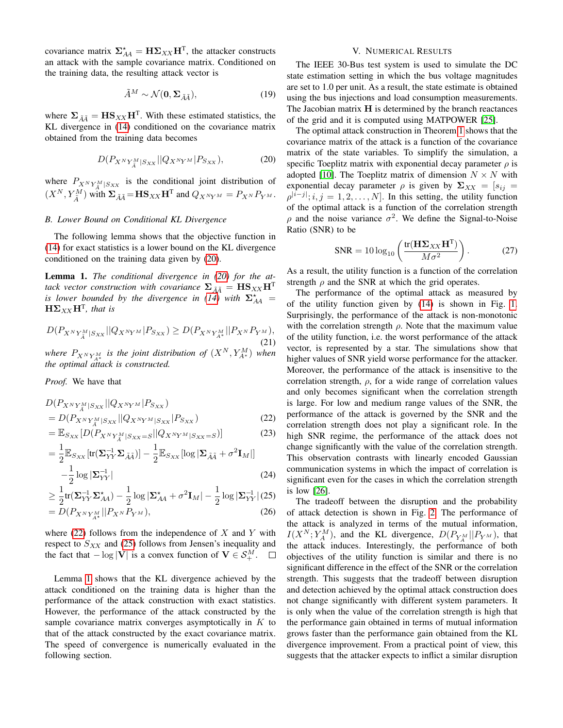covariance matrix  $\Sigma_{AA}^* = \mathbf{H} \Sigma_{XX} \mathbf{H}^T$ , the attacker constructs an attack with the sample covariance matrix. Conditioned on the training data, the resulting attack vector is

$$
\tilde{A}^M \sim \mathcal{N}(\mathbf{0}, \Sigma_{\tilde{A}\tilde{A}}),\tag{19}
$$

where  $\Sigma_{\tilde{A}\tilde{A}} = \mathbf{H}\mathbf{S}_{XX}\mathbf{H}^{\text{T}}$ . With these estimated statistics, the KL divergence in [\(14\)](#page-2-3) conditioned on the covariance matrix obtained from the training data becomes

$$
D(P_{X^N Y^M_{\tilde{A}}|S_{XX}}||Q_{X^N Y^M}|P_{S_{XX}}), \t(20)
$$

where  $P_{X^N Y^M_{\vec{\lambda}} | S_{XX}}$  is the conditional joint distribution of  $(X^N, Y_{\tilde{A}}^M)$  with  $\Sigma_{\tilde{A}\tilde{A}} = \mathbf{H} \mathbf{S}_{XX} \mathbf{H}^T$  and  $Q_{X^N Y^M} = P_{X^N} P_{Y^M}$ .

# *B. Lower Bound on Conditional KL Divergence*

The following lemma shows that the objective function in [\(14\)](#page-2-3) for exact statistics is a lower bound on the KL divergence conditioned on the training data given by [\(20\)](#page-3-1).

<span id="page-3-4"></span>Lemma 1. *The conditional divergence in [\(20\)](#page-3-1) for the attack vector construction with covariance*  $\Sigma_{\tilde{A}\tilde{A}} = \mathbf{H}\mathbf{S}_{XX}\mathbf{H}^{\mathrm{T}}$ *is lower bounded by the divergence in*  $(14)$  *with*  $\Sigma_{AA}^{*}$  =  $\mathbf{H}\mathbf{\Sigma}_{XX}\mathbf{H}^{\mathsf{T}}$ *, that is* 

$$
D(P_{X^N Y_A^M | S_{XX}} || Q_{X^N Y^M} | P_{S_{XX}}) \ge D(P_{X^N Y_A^M} || P_{X^N} P_{Y^M}),
$$
\n(21)

*where*  $P_{X^N Y^M_{A^*}}$  *is the joint distribution of*  $(X^N, Y^M_{A^*})$  *when the optimal attack is constructed.*

*Proof.* We have that

$$
D(P_{X^{N}Y^{M}_{\tilde{A}}|S_{XX}}||Q_{X^{N}Y^{M}}|P_{S_{XX}})
$$
  
= 
$$
D(P_{X^{N}Y^{M}_{\tilde{A}}|S_{XX}}||Q_{X^{N}Y^{M}|S_{XX}}|P_{S_{XX}})
$$
 (22)

$$
= \mathbb{E}_{S_{XX}}[D(P_{X^N Y_A^M | S_{XX}=S} || Q_{X^N Y^M | S_{XX}=S})]
$$
(23)

$$
= \frac{1}{2} \mathbb{E}_{S_{XX}} [\text{tr}(\Sigma_{YY}^{-1} \Sigma_{\tilde{A}\tilde{A}})] - \frac{1}{2} \mathbb{E}_{S_{XX}} [\log |\Sigma_{\tilde{A}\tilde{A}} + \sigma^2 \mathbf{I}_M|]
$$
  

$$
-\frac{1}{2} \log |\Sigma_{YY}^{-1}|
$$
 (24)

$$
\geq \frac{1}{2} \text{tr}(\boldsymbol{\Sigma}_{YY}^{-1} \boldsymbol{\Sigma}_{AA}^{\star}) - \frac{1}{2} \log |\boldsymbol{\Sigma}_{AA}^{\star} + \sigma^2 \mathbf{I}_M| - \frac{1}{2} \log |\boldsymbol{\Sigma}_{YY}^{-1}| \text{ (25)}
$$

$$
=D(P_{X^{N}Y_{A^*}^{M}}||P_{X^{N}}P_{Y^{M}}),
$$
\n(26)

where  $(22)$  follows from the independence of X and Y with respect to  $S_{XX}$  and [\(25\)](#page-3-3) follows from Jensen's inequality and the fact that  $-\log |\mathbf{V}|$  is a convex function of  $\mathbf{V} \in \mathcal{S}_{+}^{M}$ .

Lemma [1](#page-3-4) shows that the KL divergence achieved by the attack conditioned on the training data is higher than the performance of the attack construction with exact statistics. However, the performance of the attack constructed by the sample covariance matrix converges asymptotically in  $K$  to that of the attack constructed by the exact covariance matrix. The speed of convergence is numerically evaluated in the following section.

# V. NUMERICAL RESULTS

<span id="page-3-0"></span>The IEEE 30-Bus test system is used to simulate the DC state estimation setting in which the bus voltage magnitudes are set to 1.0 per unit. As a result, the state estimate is obtained using the bus injections and load consumption measurements. The Jacobian matrix  $H$  is determined by the branch reactances of the grid and it is computed using MATPOWER [\[25\]](#page-5-25).

<span id="page-3-1"></span>The optimal attack construction in Theorem [1](#page-2-6) shows that the covariance matrix of the attack is a function of the covariance matrix of the state variables. To simplify the simulation, a specific Toeplitz matrix with exponential decay parameter  $\rho$  is adopted [\[10\]](#page-5-9). The Toeplitz matrix of dimension  $N \times N$  with exponential decay parameter  $\rho$  is given by  $\Sigma_{XX} = [s_{ij}]$  $\rho^{|i-j|}$ ;  $i, j = 1, 2, \dots, N$ . In this setting, the utility function of the optimal attack is a function of the correlation strength  $\rho$  and the noise variance  $\sigma^2$ . We define the Signal-to-Noise Ratio (SNR) to be

$$
SNR = 10 \log_{10} \left( \frac{\text{tr}(\mathbf{H} \mathbf{\Sigma}_{XX} \mathbf{H}^{\mathrm{T}})}{M \sigma^2} \right). \tag{27}
$$

As a result, the utility function is a function of the correlation strength  $\rho$  and the SNR at which the grid operates.

The performance of the optimal attack as measured by of the utility function given by [\(14\)](#page-2-3) is shown in Fig. [1.](#page-4-0) Surprisingly, the performance of the attack is non-monotonic with the correlation strength  $\rho$ . Note that the maximum value of the utility function, i.e. the worst performance of the attack vector, is represented by a star. The simulations show that higher values of SNR yield worse performance for the attacker. Moreover, the performance of the attack is insensitive to the correlation strength,  $\rho$ , for a wide range of correlation values and only becomes significant when the correlation strength is large. For low and medium range values of the SNR, the performance of the attack is governed by the SNR and the correlation strength does not play a significant role. In the high SNR regime, the performance of the attack does not change significantly with the value of the correlation strength. This observation contrasts with linearly encoded Gaussian communication systems in which the impact of correlation is significant even for the cases in which the correlation strength is low [\[26\]](#page-5-26).

<span id="page-3-3"></span><span id="page-3-2"></span>The tradeoff between the disruption and the probability of attack detection is shown in Fig. [2.](#page-4-1) The performance of the attack is analyzed in terms of the mutual information,  $I(X^N; Y_A^M)$ , and the KL divergence,  $D(P_{Y_A^M}||P_{Y^M})$ , that the attack induces. Interestingly, the performance of both objectives of the utility function is similar and there is no significant difference in the effect of the SNR or the correlation strength. This suggests that the tradeoff between disruption and detection achieved by the optimal attack construction does not change significantly with different system parameters. It is only when the value of the correlation strength is high that the performance gain obtained in terms of mutual information grows faster than the performance gain obtained from the KL divergence improvement. From a practical point of view, this suggests that the attacker expects to inflict a similar disruption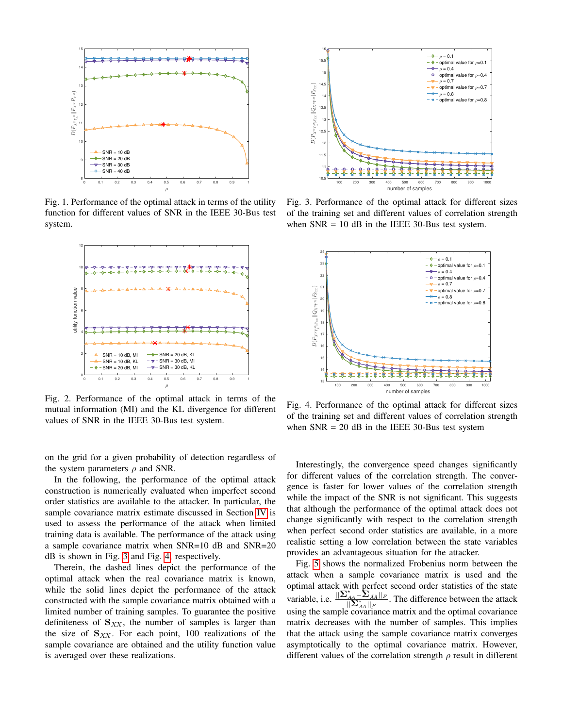<span id="page-4-0"></span>

Fig. 1. Performance of the optimal attack in terms of the utility function for different values of SNR in the IEEE 30-Bus test system.

<span id="page-4-1"></span>

Fig. 2. Performance of the optimal attack in terms of the mutual information (MI) and the KL divergence for different values of SNR in the IEEE 30-Bus test system.

on the grid for a given probability of detection regardless of the system parameters  $\rho$  and SNR.

In the following, the performance of the optimal attack construction is numerically evaluated when imperfect second order statistics are available to the attacker. In particular, the sample covariance matrix estimate discussed in Section [IV](#page-2-1) is used to assess the performance of the attack when limited training data is available. The performance of the attack using a sample covariance matrix when SNR=10 dB and SNR=20 dB is shown in Fig. [3](#page-4-2) and Fig. [4,](#page-4-3) respectively.

Therein, the dashed lines depict the performance of the optimal attack when the real covariance matrix is known, while the solid lines depict the performance of the attack constructed with the sample covariance matrix obtained with a limited number of training samples. To guarantee the positive definiteness of  $S_{XX}$ , the number of samples is larger than the size of  $S_{XX}$ . For each point, 100 realizations of the sample covariance are obtained and the utility function value is averaged over these realizations.

<span id="page-4-2"></span>

Fig. 3. Performance of the optimal attack for different sizes of the training set and different values of correlation strength when  $SNR = 10$  dB in the IEEE 30-Bus test system.

<span id="page-4-3"></span>

Fig. 4. Performance of the optimal attack for different sizes of the training set and different values of correlation strength when  $SNR = 20$  dB in the IEEE 30-Bus test system

Interestingly, the convergence speed changes significantly for different values of the correlation strength. The convergence is faster for lower values of the correlation strength while the impact of the SNR is not significant. This suggests that although the performance of the optimal attack does not change significantly with respect to the correlation strength when perfect second order statistics are available, in a more realistic setting a low correlation between the state variables provides an advantageous situation for the attacker.

Fig. [5](#page-5-27) shows the normalized Frobenius norm between the attack when a sample covariance matrix is used and the optimal attack with perfect second order statistics of the state variable, i.e.  $^{\star}_{\scriptscriptstyle{A}\hspace{-0.05cm}A}$   $\sum_{\tilde{A}\tilde{A}}$   $||_{F}$  $\frac{|AA|^{-2} \tilde{A} \tilde{A}||F}{||\tilde{\Sigma}_{AA}||F}$ . The difference between the attack using the sample covariance matrix and the optimal covariance matrix decreases with the number of samples. This implies that the attack using the sample covariance matrix converges asymptotically to the optimal covariance matrix. However, different values of the correlation strength  $\rho$  result in different